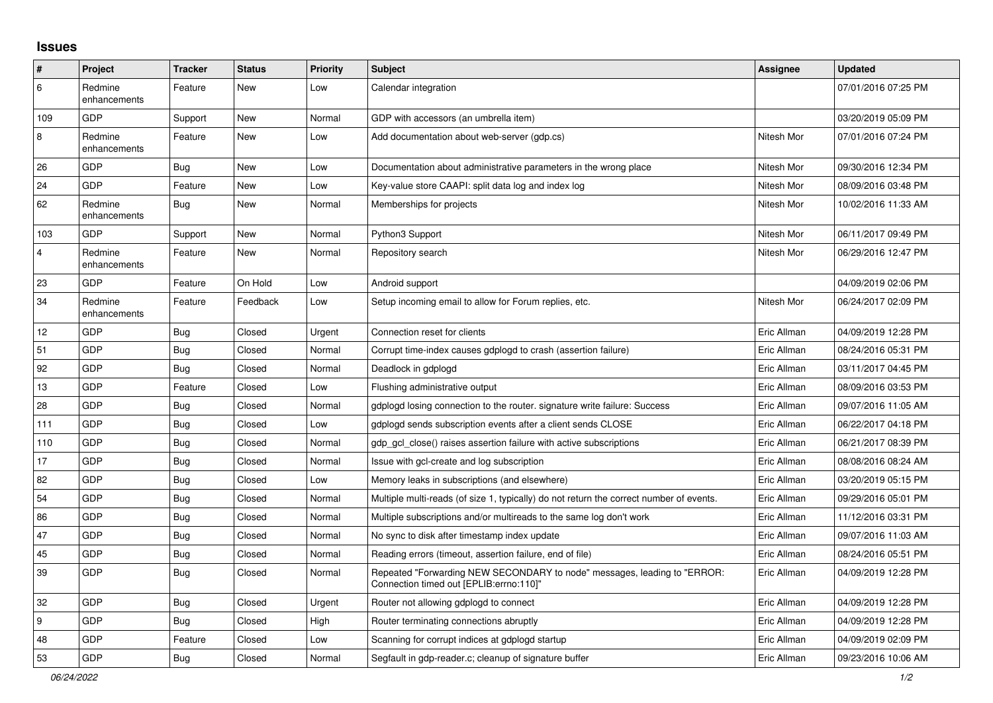## **Issues**

| #                | Project                 | <b>Tracker</b> | <b>Status</b> | <b>Priority</b> | <b>Subject</b>                                                                                                      | <b>Assignee</b> | <b>Updated</b>      |
|------------------|-------------------------|----------------|---------------|-----------------|---------------------------------------------------------------------------------------------------------------------|-----------------|---------------------|
| 6                | Redmine<br>enhancements | Feature        | New           | Low             | Calendar integration                                                                                                |                 | 07/01/2016 07:25 PM |
| 109              | GDP                     | Support        | New           | Normal          | GDP with accessors (an umbrella item)                                                                               |                 | 03/20/2019 05:09 PM |
| 8                | Redmine<br>enhancements | Feature        | New           | Low             | Add documentation about web-server (gdp.cs)                                                                         | Nitesh Mor      | 07/01/2016 07:24 PM |
| 26               | GDP                     | Bug            | New           | Low             | Documentation about administrative parameters in the wrong place                                                    | Nitesh Mor      | 09/30/2016 12:34 PM |
| 24               | <b>GDP</b>              | Feature        | New           | Low             | Key-value store CAAPI: split data log and index log                                                                 | Nitesh Mor      | 08/09/2016 03:48 PM |
| 62               | Redmine<br>enhancements | <b>Bug</b>     | <b>New</b>    | Normal          | Memberships for projects                                                                                            | Nitesh Mor      | 10/02/2016 11:33 AM |
| 103              | <b>GDP</b>              | Support        | New           | Normal          | Python3 Support                                                                                                     | Nitesh Mor      | 06/11/2017 09:49 PM |
| $\overline{4}$   | Redmine<br>enhancements | Feature        | <b>New</b>    | Normal          | Repository search                                                                                                   | Nitesh Mor      | 06/29/2016 12:47 PM |
| 23               | <b>GDP</b>              | Feature        | On Hold       | Low             | Android support                                                                                                     |                 | 04/09/2019 02:06 PM |
| 34               | Redmine<br>enhancements | Feature        | Feedback      | Low             | Setup incoming email to allow for Forum replies, etc.                                                               | Nitesh Mor      | 06/24/2017 02:09 PM |
| 12               | GDP                     | Bug            | Closed        | Urgent          | Connection reset for clients                                                                                        | Eric Allman     | 04/09/2019 12:28 PM |
| 51               | GDP                     | Bug            | Closed        | Normal          | Corrupt time-index causes gdplogd to crash (assertion failure)                                                      | Eric Allman     | 08/24/2016 05:31 PM |
| 92               | GDP                     | Bug            | Closed        | Normal          | Deadlock in gdplogd                                                                                                 | Eric Allman     | 03/11/2017 04:45 PM |
| 13               | <b>GDP</b>              | Feature        | Closed        | Low             | Flushing administrative output                                                                                      | Eric Allman     | 08/09/2016 03:53 PM |
| 28               | GDP                     | Bug            | Closed        | Normal          | gdplogd losing connection to the router, signature write failure: Success                                           | Eric Allman     | 09/07/2016 11:05 AM |
| 111              | GDP                     | Bug            | Closed        | Low             | gdplogd sends subscription events after a client sends CLOSE                                                        | Eric Allman     | 06/22/2017 04:18 PM |
| 110              | GDP                     | Bug            | Closed        | Normal          | gdp gcl close() raises assertion failure with active subscriptions                                                  | Eric Allman     | 06/21/2017 08:39 PM |
| 17               | GDP                     | <b>Bug</b>     | Closed        | Normal          | Issue with gcl-create and log subscription                                                                          | Eric Allman     | 08/08/2016 08:24 AM |
| 82               | GDP                     | <b>Bug</b>     | Closed        | Low             | Memory leaks in subscriptions (and elsewhere)                                                                       | Eric Allman     | 03/20/2019 05:15 PM |
| 54               | GDP                     | <b>Bug</b>     | Closed        | Normal          | Multiple multi-reads (of size 1, typically) do not return the correct number of events.                             | Eric Allman     | 09/29/2016 05:01 PM |
| 86               | <b>GDP</b>              | <b>Bug</b>     | Closed        | Normal          | Multiple subscriptions and/or multireads to the same log don't work                                                 | Eric Allman     | 11/12/2016 03:31 PM |
| 47               | GDP                     | <b>Bug</b>     | Closed        | Normal          | No sync to disk after timestamp index update                                                                        | Eric Allman     | 09/07/2016 11:03 AM |
| 45               | GDP                     | <b>Bug</b>     | Closed        | Normal          | Reading errors (timeout, assertion failure, end of file)                                                            | Eric Allman     | 08/24/2016 05:51 PM |
| 39               | GDP                     | Bug            | Closed        | Normal          | Repeated "Forwarding NEW SECONDARY to node" messages, leading to "ERROR:<br>Connection timed out [EPLIB:errno:110]" | Eric Allman     | 04/09/2019 12:28 PM |
| 32               | GDP                     | <b>Bug</b>     | Closed        | Urgent          | Router not allowing gdplogd to connect                                                                              | Eric Allman     | 04/09/2019 12:28 PM |
| $\boldsymbol{9}$ | GDP                     | Bug            | Closed        | High            | Router terminating connections abruptly                                                                             | Eric Allman     | 04/09/2019 12:28 PM |
| 48               | GDP                     | Feature        | Closed        | Low             | Scanning for corrupt indices at gdplogd startup                                                                     | Eric Allman     | 04/09/2019 02:09 PM |
| 53               | <b>GDP</b>              | Bug            | Closed        | Normal          | Segfault in gdp-reader.c; cleanup of signature buffer                                                               | Eric Allman     | 09/23/2016 10:06 AM |